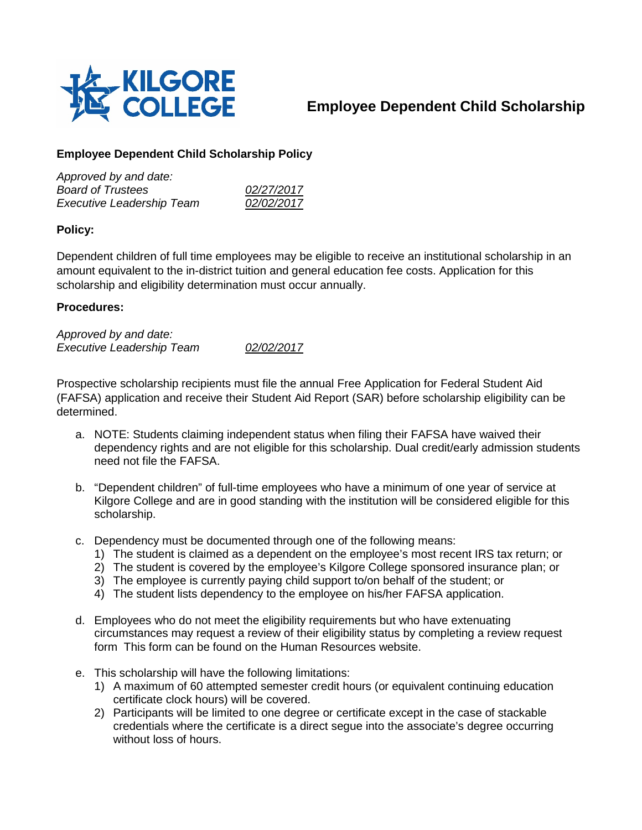

## **Employee Dependent Child Scholarship**

## **Employee Dependent Child Scholarship Policy**

| Approved by and date:            |            |
|----------------------------------|------------|
| <b>Board of Trustees</b>         | 02/27/2017 |
| <b>Executive Leadership Team</b> | 02/02/2017 |

## **Policy:**

Dependent children of full time employees may be eligible to receive an institutional scholarship in an amount equivalent to the in-district tuition and general education fee costs. Application for this scholarship and eligibility determination must occur annually.

## **Procedures:**

*Approved by and date: Executive Leadership Team 02/02/2017*

Prospective scholarship recipients must file the annual Free Application for Federal Student Aid (FAFSA) application and receive their Student Aid Report (SAR) before scholarship eligibility can be determined.

- a. NOTE: Students claiming independent status when filing their FAFSA have waived their dependency rights and are not eligible for this scholarship. Dual credit/early admission students need not file the FAFSA.
- b. "Dependent children" of full-time employees who have a minimum of one year of service at Kilgore College and are in good standing with the institution will be considered eligible for this scholarship.
- c. Dependency must be documented through one of the following means:
	- 1) The student is claimed as a dependent on the employee's most recent IRS tax return; or
	- 2) The student is covered by the employee's Kilgore College sponsored insurance plan; or
	- 3) The employee is currently paying child support to/on behalf of the student; or
	- 4) The student lists dependency to the employee on his/her FAFSA application.
- d. Employees who do not meet the eligibility requirements but who have extenuating circumstances may request a review of their eligibility status by completing a review request form This form can be found on the Human Resources website.
- e. This scholarship will have the following limitations:
	- 1) A maximum of 60 attempted semester credit hours (or equivalent continuing education certificate clock hours) will be covered.
	- 2) Participants will be limited to one degree or certificate except in the case of stackable credentials where the certificate is a direct segue into the associate's degree occurring without loss of hours.